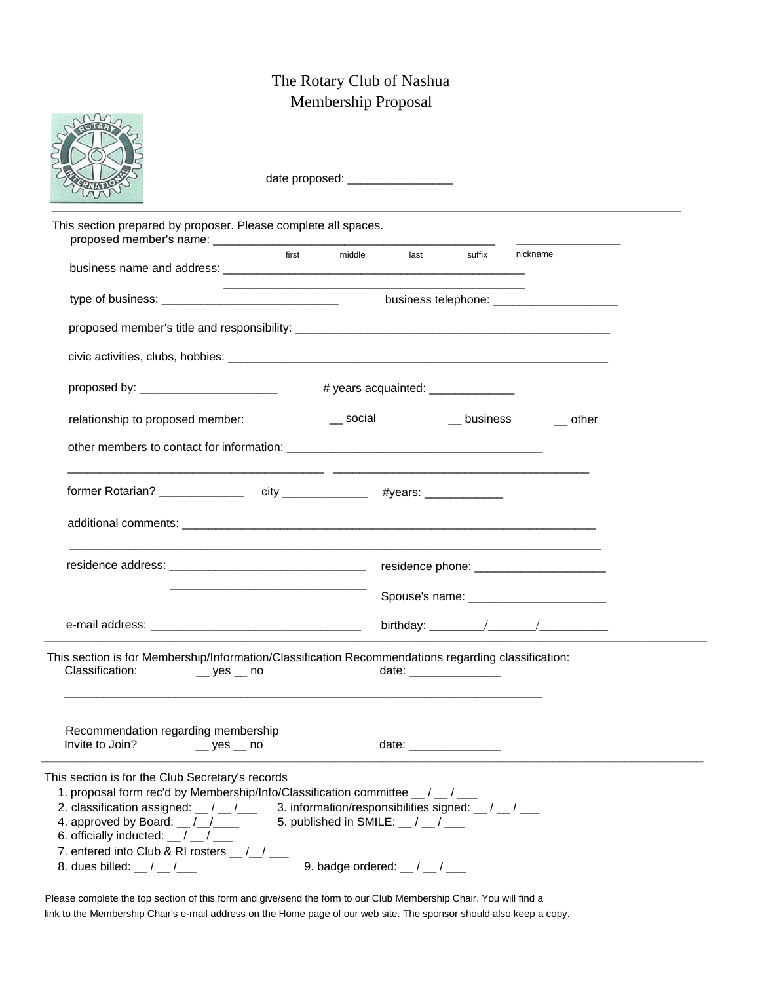## The Rotary Club of Nashua Membership Proposal

arry

|                                                                                                                                                                                                                                                                                                                                                                                         |                  |  | date proposed: ___________________                                                                                                                                   |  |  |       |  |
|-----------------------------------------------------------------------------------------------------------------------------------------------------------------------------------------------------------------------------------------------------------------------------------------------------------------------------------------------------------------------------------------|------------------|--|----------------------------------------------------------------------------------------------------------------------------------------------------------------------|--|--|-------|--|
| This section prepared by proposer. Please complete all spaces.                                                                                                                                                                                                                                                                                                                          |                  |  |                                                                                                                                                                      |  |  |       |  |
|                                                                                                                                                                                                                                                                                                                                                                                         |                  |  | first middle last suffix nickname<br>the control of the control of the control of the control of the control of the control of                                       |  |  |       |  |
|                                                                                                                                                                                                                                                                                                                                                                                         |                  |  | business telephone: _______________________                                                                                                                          |  |  |       |  |
|                                                                                                                                                                                                                                                                                                                                                                                         |                  |  |                                                                                                                                                                      |  |  |       |  |
|                                                                                                                                                                                                                                                                                                                                                                                         |                  |  |                                                                                                                                                                      |  |  |       |  |
|                                                                                                                                                                                                                                                                                                                                                                                         |                  |  | # years acquainted: ________________                                                                                                                                 |  |  |       |  |
| relationship to proposed member:                                                                                                                                                                                                                                                                                                                                                        |                  |  | ___ social ____ ___ business                                                                                                                                         |  |  | other |  |
|                                                                                                                                                                                                                                                                                                                                                                                         |                  |  |                                                                                                                                                                      |  |  |       |  |
|                                                                                                                                                                                                                                                                                                                                                                                         |                  |  |                                                                                                                                                                      |  |  |       |  |
|                                                                                                                                                                                                                                                                                                                                                                                         |                  |  |                                                                                                                                                                      |  |  |       |  |
| This section is for Membership/Information/Classification Recommendations regarding classification:<br>Classification:                                                                                                                                                                                                                                                                  | $\_$ yes $\_$ no |  | date:                                                                                                                                                                |  |  |       |  |
| Recommendation regarding membership<br>Invite to Join?                                                                                                                                                                                                                                                                                                                                  | $=$ yes $=$ no   |  | date: ________________                                                                                                                                               |  |  |       |  |
| This section is for the Club Secretary's records<br>1. proposal form rec'd by Membership/Info/Classification committee _/_/_/<br>2. classification assigned: $\frac{1}{2}$ / $\frac{1}{2}$<br>4. approved by Board: $\frac{1}{2}$<br>6. officially inducted: $\frac{1}{2}$ / $\frac{1}{2}$<br>7. entered into Club & RI rosters _/_/__<br>8. dues billed: $\frac{1}{2}$ / $\frac{1}{2}$ |                  |  | 3. information/responsibilities signed: $\frac{1}{2}$ / $\frac{1}{2}$<br>5. published in SMILE: $\frac{1}{2}$ / $\frac{1}{2}$<br>9. badge ordered: $_{-}/_{-}/_{--}$ |  |  |       |  |

Please complete the top section of this form and give/send the form to our Club Membership Chair. You will find a link to the Membership Chair's e-mail address on the Home page of our web site. The sponsor should also keep a copy.